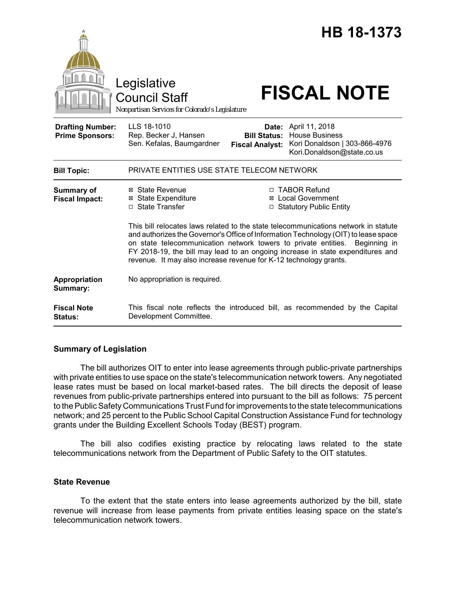|                                                   | Legislative<br><b>Council Staff</b><br>Nonpartisan Services for Colorado's Legislature                                                                                                                                                                                                                                                                                                                              |                                                                             | HB 18-1373<br><b>FISCAL NOTE</b>                                                                             |
|---------------------------------------------------|---------------------------------------------------------------------------------------------------------------------------------------------------------------------------------------------------------------------------------------------------------------------------------------------------------------------------------------------------------------------------------------------------------------------|-----------------------------------------------------------------------------|--------------------------------------------------------------------------------------------------------------|
| <b>Drafting Number:</b><br><b>Prime Sponsors:</b> | LLS 18-1010<br>Rep. Becker J, Hansen<br>Sen. Kefalas, Baumgardner                                                                                                                                                                                                                                                                                                                                                   | <b>Bill Status:</b><br><b>Fiscal Analyst:</b>                               | Date: April 11, 2018<br><b>House Business</b><br>Kori Donaldson   303-866-4976<br>Kori.Donaldson@state.co.us |
| <b>Bill Topic:</b>                                | PRIVATE ENTITIES USE STATE TELECOM NETWORK                                                                                                                                                                                                                                                                                                                                                                          |                                                                             |                                                                                                              |
| <b>Summary of</b><br><b>Fiscal Impact:</b>        | ⊠ State Revenue<br><b>⊠</b> State Expenditure<br>□ State Transfer                                                                                                                                                                                                                                                                                                                                                   | □ TABOR Refund<br><b>Local Government</b><br>⊠<br>□ Statutory Public Entity |                                                                                                              |
|                                                   | This bill relocates laws related to the state telecommunications network in statute<br>and authorizes the Governor's Office of Information Technology (OIT) to lease space<br>on state telecommunication network towers to private entities.<br>Beginning in<br>FY 2018-19, the bill may lead to an ongoing increase in state expenditures and<br>revenue. It may also increase revenue for K-12 technology grants. |                                                                             |                                                                                                              |
| Appropriation<br>Summary:                         | No appropriation is required.                                                                                                                                                                                                                                                                                                                                                                                       |                                                                             |                                                                                                              |
| <b>Fiscal Note</b><br>Status:                     | Development Committee.                                                                                                                                                                                                                                                                                                                                                                                              |                                                                             | This fiscal note reflects the introduced bill, as recommended by the Capital                                 |

## **Summary of Legislation**

The bill authorizes OIT to enter into lease agreements through public-private partnerships with private entities to use space on the state's telecommunication network towers. Any negotiated lease rates must be based on local market-based rates. The bill directs the deposit of lease revenues from public-private partnerships entered into pursuant to the bill as follows: 75 percent to the Public Safety Communications Trust Fund for improvements to the state telecommunications network; and 25 percent to the Public School Capital Construction Assistance Fund for technology grants under the Building Excellent Schools Today (BEST) program.

The bill also codifies existing practice by relocating laws related to the state telecommunications network from the Department of Public Safety to the OIT statutes.

## **State Revenue**

To the extent that the state enters into lease agreements authorized by the bill, state revenue will increase from lease payments from private entities leasing space on the state's telecommunication network towers.